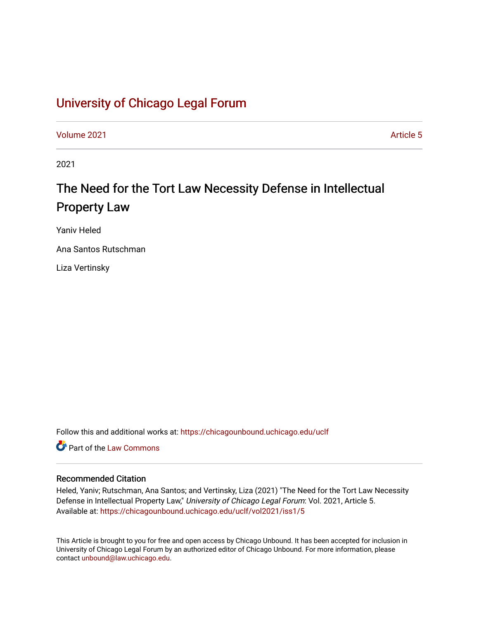# [University of Chicago Legal Forum](https://chicagounbound.uchicago.edu/uclf)

[Volume 2021](https://chicagounbound.uchicago.edu/uclf/vol2021) **Article 5** Article 5

2021

# The Need for the Tort Law Necessity Defense in Intellectual Property Law

Yaniv Heled

Ana Santos Rutschman

Liza Vertinsky

Follow this and additional works at: [https://chicagounbound.uchicago.edu/uclf](https://chicagounbound.uchicago.edu/uclf?utm_source=chicagounbound.uchicago.edu%2Fuclf%2Fvol2021%2Fiss1%2F5&utm_medium=PDF&utm_campaign=PDFCoverPages) 

**C** Part of the [Law Commons](https://network.bepress.com/hgg/discipline/578?utm_source=chicagounbound.uchicago.edu%2Fuclf%2Fvol2021%2Fiss1%2F5&utm_medium=PDF&utm_campaign=PDFCoverPages)

## Recommended Citation

Heled, Yaniv; Rutschman, Ana Santos; and Vertinsky, Liza (2021) "The Need for the Tort Law Necessity Defense in Intellectual Property Law," University of Chicago Legal Forum: Vol. 2021, Article 5. Available at: [https://chicagounbound.uchicago.edu/uclf/vol2021/iss1/5](https://chicagounbound.uchicago.edu/uclf/vol2021/iss1/5?utm_source=chicagounbound.uchicago.edu%2Fuclf%2Fvol2021%2Fiss1%2F5&utm_medium=PDF&utm_campaign=PDFCoverPages) 

This Article is brought to you for free and open access by Chicago Unbound. It has been accepted for inclusion in University of Chicago Legal Forum by an authorized editor of Chicago Unbound. For more information, please contact [unbound@law.uchicago.edu](mailto:unbound@law.uchicago.edu).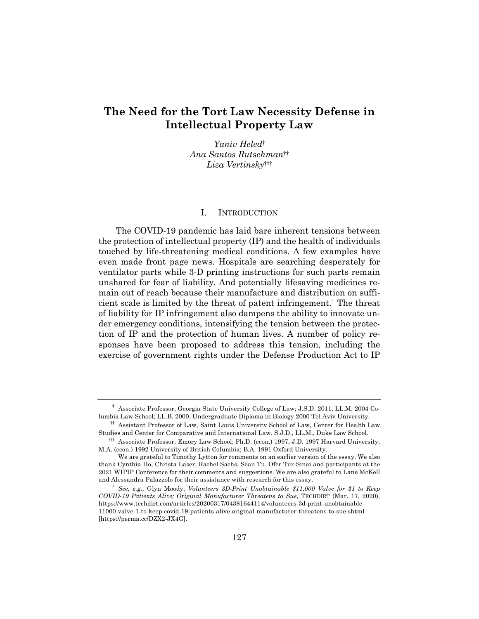# **The Need for the Tort Law Necessity Defense in Intellectual Property Law**

*Yaniv Heled*† *Ana Santos Rutschman*†† *Liza Vertinsky*†††

#### I. INTRODUCTION

The COVID-19 pandemic has laid bare inherent tensions between the protection of intellectual property (IP) and the health of individuals touched by life-threatening medical conditions. A few examples have even made front page news. Hospitals are searching desperately for ventilator parts while 3-D printing instructions for such parts remain unshared for fear of liability. And potentially lifesaving medicines remain out of reach because their manufacture and distribution on sufficient scale is limited by the threat of patent infringement.1 The threat of liability for IP infringement also dampens the ability to innovate under emergency conditions, intensifying the tension between the protection of IP and the protection of human lives. A number of policy responses have been proposed to address this tension, including the exercise of government rights under the Defense Production Act to IP

<sup>†</sup> Associate Professor, Georgia State University College of Law; J.S.D. 2011, LL.M. 2004 Columbia Law School; LL.B. 2000, Undergraduate Diploma in Biology 2000 Tel Aviv University.

<sup>††</sup> Assistant Professor of Law, Saint Louis University School of Law, Center for Health Law Studies and Center for Comparative and International Law. S.J.D., LL.M., Duke Law School.

<sup>†††</sup> Associate Professor, Emory Law School; Ph.D. (econ.) 1997, J.D. 1997 Harvard University; M.A. (econ.) 1992 University of British Columbia; B.A. 1991 Oxford University.

We are grateful to Timothy Lytton for comments on an earlier version of the essay. We also thank Cynthia Ho, Christa Laser, Rachel Sachs, Sean Tu, Ofer Tur-Sinai and participants at the 2021 WIPIP Conference for their comments and suggestions. We are also grateful to Lane McKell and Alessandra Palazzolo for their assistance with research for this essay.

<sup>1</sup> *See, e.g.*, Glyn Moody, *Volunteers 3D-Print Unobtainable \$11,000 Valve for \$1 to Keep COVID-19 Patients Alive; Original Manufacturer Threatens to Sue*, TECHDIRT (Mar. 17, 2020), https://www.techdirt.com/articles/20200317/04381644114/volunteers-3d-print-unobtainable-11000-valve-1-to-keep-covid-19-patients-alive-original-manufacturer-threatens-to-sue.shtml [https://perma.cc/DZX2-JX4G].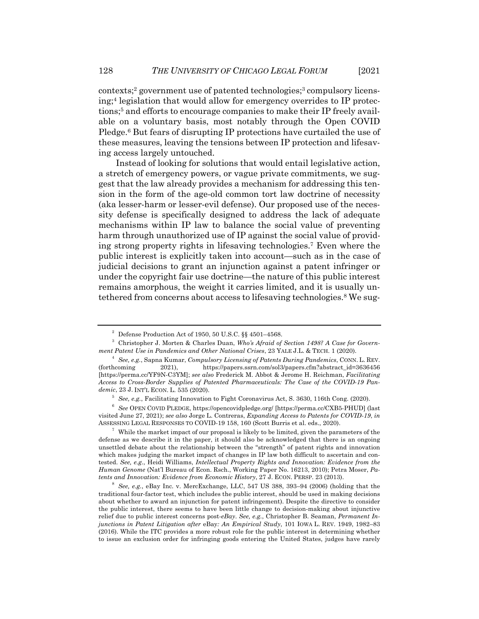contexts; <sup>2</sup> government use of patented technologies;3 compulsory licensing;4 legislation that would allow for emergency overrides to IP protections;<sup>5</sup> and efforts to encourage companies to make their IP freely available on a voluntary basis, most notably through the Open COVID Pledge.6 But fears of disrupting IP protections have curtailed the use of these measures, leaving the tensions between IP protection and lifesaving access largely untouched.

Instead of looking for solutions that would entail legislative action, a stretch of emergency powers, or vague private commitments, we suggest that the law already provides a mechanism for addressing this tension in the form of the age-old common tort law doctrine of necessity (aka lesser-harm or lesser-evil defense). Our proposed use of the necessity defense is specifically designed to address the lack of adequate mechanisms within IP law to balance the social value of preventing harm through unauthorized use of IP against the social value of providing strong property rights in lifesaving technologies.7 Even where the public interest is explicitly taken into account—such as in the case of judicial decisions to grant an injunction against a patent infringer or under the copyright fair use doctrine—the nature of this public interest remains amorphous, the weight it carries limited, and it is usually untethered from concerns about access to lifesaving technologies.<sup>8</sup> We sug-

 $2\degree$  Defense Production Act of 1950, 50 U.S.C. §§ 4501-4568.

<sup>3</sup> Christopher J. Morten & Charles Duan, *Who's Afraid of Section 1498? A Case for Government Patent Use in Pandemics and Other National Crises*, 23 YALE J.L. & TECH. 1 (2020).

<sup>4</sup> *See, e.g.*, Sapna Kumar, *Compulsory Licensing of Patents During Pandemics*, CONN. L. REV. (forthcoming 2021), https://papers.ssrn.com/sol3/papers.cfm?abstract\_id=3636456 [https://perma.cc/YF9N-C3YM]; *see also* Frederick M. Abbot & Jerome H. Reichman, *Facilitating Access to Cross-Border Supplies of Patented Pharmaceuticals: The Case of the COVID-19 Pandemic*, 23 J. INT'L ECON. L. 535 (2020).

<sup>5</sup> *See, e.g.*, Facilitating Innovation to Fight Coronavirus Act, S. 3630, 116th Cong. (2020).

<sup>6</sup> *See* OPEN COVID PLEDGE, https://opencovidpledge.org/ [https://perma.cc/CXB5-PHUD] (last visited June 27, 2021); *see also* Jorge L. Contreras, *Expanding Access to Patents for COVID-19*, *in* ASSESSING LEGAL RESPONSES TO COVID-19 158, 160 (Scott Burris et al. eds., 2020).

 $7$  While the market impact of our proposal is likely to be limited, given the parameters of the defense as we describe it in the paper, it should also be acknowledged that there is an ongoing unsettled debate about the relationship between the "strength" of patent rights and innovation which makes judging the market impact of changes in IP law both difficult to ascertain and contested. *See, e.g.*, Heidi Williams, *Intellectual Property Rights and Innovation: Evidence from the Human Genome* (Nat'l Bureau of Econ. Rsch., Working Paper No. 16213, 2010); Petra Moser, *Patents and Innovation: Evidence from Economic History*, 27 J. ECON. PERSP. 23 (2013).

<sup>8</sup> *See, e.g.*, eBay Inc. v. MercExchange, LLC, 547 US 388, 393–94 (2006) (holding that the traditional four-factor test, which includes the public interest, should be used in making decisions about whether to award an injunction for patent infringement). Despite the directive to consider the public interest, there seems to have been little change to decision-making about injunctive relief due to public interest concerns post-*eBay*. *See, e.g.*, Christopher B. Seaman, *Permanent Injunctions in Patent Litigation after* eBay*: An Empirical Study*, 101 IOWA L. REV. 1949, 1982–83 (2016). While the ITC provides a more robust role for the public interest in determining whether to issue an exclusion order for infringing goods entering the United States, judges have rarely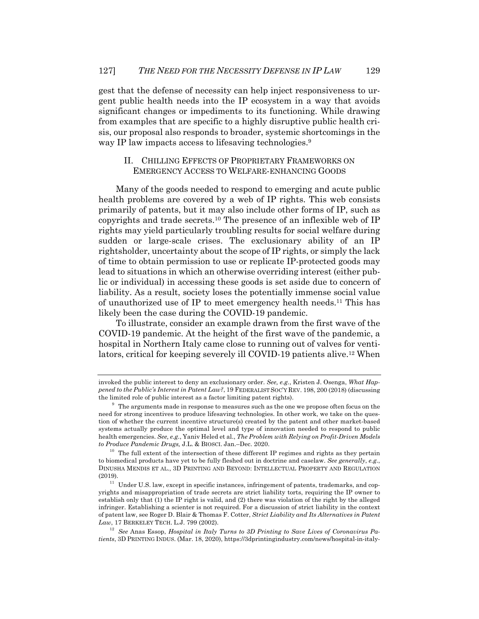gest that the defense of necessity can help inject responsiveness to urgent public health needs into the IP ecosystem in a way that avoids significant changes or impediments to its functioning. While drawing from examples that are specific to a highly disruptive public health crisis, our proposal also responds to broader, systemic shortcomings in the way IP law impacts access to lifesaving technologies.<sup>9</sup>

## II. CHILLING EFFECTS OF PROPRIETARY FRAMEWORKS ON EMERGENCY ACCESS TO WELFARE-ENHANCING GOODS

Many of the goods needed to respond to emerging and acute public health problems are covered by a web of IP rights. This web consists primarily of patents, but it may also include other forms of IP, such as copyrights and trade secrets.10 The presence of an inflexible web of IP rights may yield particularly troubling results for social welfare during sudden or large-scale crises. The exclusionary ability of an IP rightsholder, uncertainty about the scope of IP rights, or simply the lack of time to obtain permission to use or replicate IP-protected goods may lead to situations in which an otherwise overriding interest (either public or individual) in accessing these goods is set aside due to concern of liability. As a result, society loses the potentially immense social value of unauthorized use of IP to meet emergency health needs. <sup>11</sup> This has likely been the case during the COVID-19 pandemic.

To illustrate, consider an example drawn from the first wave of the COVID-19 pandemic. At the height of the first wave of the pandemic, a hospital in Northern Italy came close to running out of valves for ventilators, critical for keeping severely ill COVID-19 patients alive.12 When

invoked the public interest to deny an exclusionary order. *See, e.g.*, Kristen J. Osenga, *What Happened to the Public's Interest in Patent Law?*, 19 FEDERALIST SOC'Y REV. 198, 200 (2018) (discussing the limited role of public interest as a factor limiting patent rights).

<sup>&</sup>lt;sup>9</sup> The arguments made in response to measures such as the one we propose often focus on the need for strong incentives to produce lifesaving technologies. In other work, we take on the question of whether the current incentive structure(s) created by the patent and other market-based systems actually produce the optimal level and type of innovation needed to respond to public health emergencies. *See, e.g.*, Yaniv Heled et al., *The Problem with Relying on Profit-Driven Models to Produce Pandemic Drugs,* J.L. & BIOSCI. Jan.–Dec. 2020.

 $^{10}\,$  The full extent of the intersection of these different IP regimes and rights as they pertain to biomedical products have yet to be fully fleshed out in doctrine and caselaw. *See generally*, *e.g.*, DINUSHA MENDIS ET AL., 3D PRINTING AND BEYOND: INTELLECTUAL PROPERTY AND REGULATION (2019).

 $11$  Under U.S. law, except in specific instances, infringement of patents, trademarks, and copyrights and misappropriation of trade secrets are strict liability torts, requiring the IP owner to establish only that (1) the IP right is valid, and (2) there was violation of the right by the alleged infringer. Establishing a scienter is not required. For a discussion of strict liability in the context of patent law, see Roger D. Blair & Thomas F. Cotter, *Strict Liability and Its Alternatives in Patent Law*, 17 BERKELEY TECH. L.J. 799 (2002).

<sup>12</sup> *See* Anas Essop, *Hospital in Italy Turns to 3D Printing to Save Lives of Coronavirus Patients*, 3D PRINTING INDUS. (Mar. 18, 2020), https://3dprintingindustry.com/news/hospital-in-italy-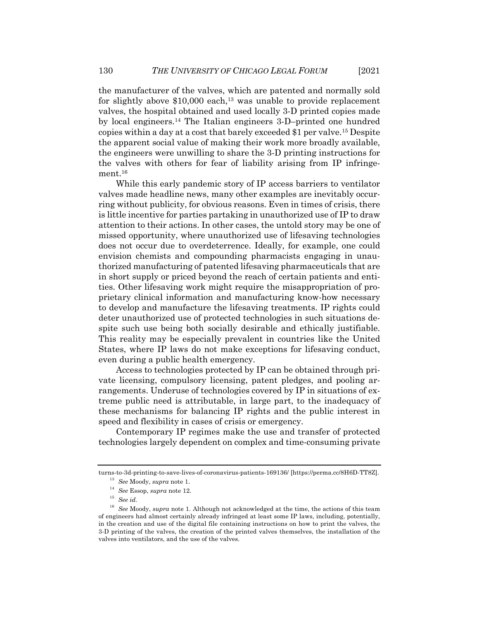the manufacturer of the valves, which are patented and normally sold for slightly above  $$10,000$  each,<sup>13</sup> was unable to provide replacement valves, the hospital obtained and used locally 3-D printed copies made by local engineers.14 The Italian engineers 3-D–printed one hundred copies within a day at a cost that barely exceeded \$1 per valve.15 Despite the apparent social value of making their work more broadly available, the engineers were unwilling to share the 3-D printing instructions for the valves with others for fear of liability arising from IP infringement.<sup>16</sup>

While this early pandemic story of IP access barriers to ventilator valves made headline news, many other examples are inevitably occurring without publicity, for obvious reasons. Even in times of crisis, there is little incentive for parties partaking in unauthorized use of IP to draw attention to their actions. In other cases, the untold story may be one of missed opportunity, where unauthorized use of lifesaving technologies does not occur due to overdeterrence. Ideally, for example, one could envision chemists and compounding pharmacists engaging in unauthorized manufacturing of patented lifesaving pharmaceuticals that are in short supply or priced beyond the reach of certain patients and entities. Other lifesaving work might require the misappropriation of proprietary clinical information and manufacturing know-how necessary to develop and manufacture the lifesaving treatments. IP rights could deter unauthorized use of protected technologies in such situations despite such use being both socially desirable and ethically justifiable. This reality may be especially prevalent in countries like the United States, where IP laws do not make exceptions for lifesaving conduct, even during a public health emergency.

Access to technologies protected by IP can be obtained through private licensing, compulsory licensing, patent pledges, and pooling arrangements. Underuse of technologies covered by IP in situations of extreme public need is attributable, in large part, to the inadequacy of these mechanisms for balancing IP rights and the public interest in speed and flexibility in cases of crisis or emergency.

Contemporary IP regimes make the use and transfer of protected technologies largely dependent on complex and time-consuming private

turns-to-3d-printing-to-save-lives-of-coronavirus-patients-169136/ [https://perma.cc/8H6D-TT8Z].

<sup>13</sup> *See* Moody, *supra* note 1.

<sup>14</sup> *See* Essop, *supra* note 12.

<sup>15</sup> *See id.*

<sup>16</sup> *See* Moody, *supra* note 1. Although not acknowledged at the time, the actions of this team of engineers had almost certainly already infringed at least some IP laws, including, potentially, in the creation and use of the digital file containing instructions on how to print the valves, the 3-D printing of the valves, the creation of the printed valves themselves, the installation of the valves into ventilators, and the use of the valves.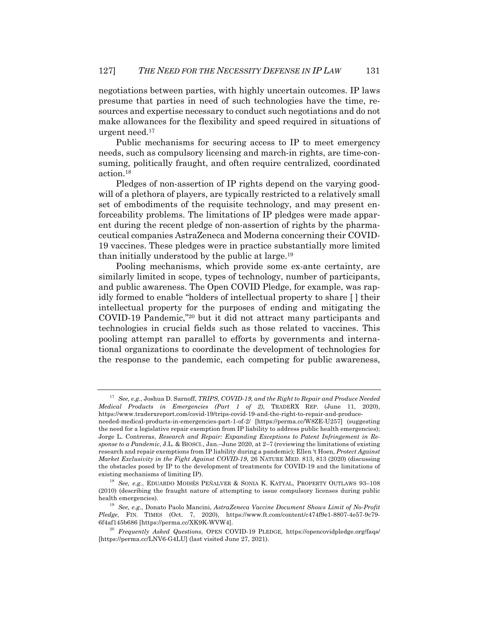negotiations between parties, with highly uncertain outcomes. IP laws presume that parties in need of such technologies have the time, resources and expertise necessary to conduct such negotiations and do not make allowances for the flexibility and speed required in situations of urgent need.17

Public mechanisms for securing access to IP to meet emergency needs, such as compulsory licensing and march-in rights, are time-consuming, politically fraught, and often require centralized, coordinated action.18

Pledges of non-assertion of IP rights depend on the varying goodwill of a plethora of players, are typically restricted to a relatively small set of embodiments of the requisite technology, and may present enforceability problems. The limitations of IP pledges were made apparent during the recent pledge of non-assertion of rights by the pharmaceutical companies AstraZeneca and Moderna concerning their COVID-19 vaccines. These pledges were in practice substantially more limited than initially understood by the public at large.19

Pooling mechanisms, which provide some ex-ante certainty, are similarly limited in scope, types of technology, number of participants, and public awareness. The Open COVID Pledge, for example, was rapidly formed to enable "holders of intellectual property to share [ ] their intellectual property for the purposes of ending and mitigating the COVID-19 Pandemic,"20 but it did not attract many participants and technologies in crucial fields such as those related to vaccines. This pooling attempt ran parallel to efforts by governments and international organizations to coordinate the development of technologies for the response to the pandemic, each competing for public awareness,

<sup>17</sup> *See, e.g.*, Joshua D. Sarnoff, *TRIPS, COVID-19, and the Right to Repair and Produce Needed Medical Products in Emergencies (Part 1 of 2)*, TRADERX REP. (June 11, 2020), https://www.traderxreport.com/covid-19/trips-covid-19-and-the-right-to-repair-and-produce-

needed-medical-products-in-emergencies-part-1-of-2/ [https://perma.cc/W8ZE-U257] (suggesting the need for a legislative repair exemption from IP liability to address public health emergencies); Jorge L. Contreras, *Research and Repair: Expanding Exceptions to Patent Infringement in Response to a Pandemic*, J.L. & BIOSCI., Jan.–June 2020, at 2–7 (reviewing the limitations of existing research and repair exemptions from IP liability during a pandemic); Ellen 't Hoen, *Protect Against Market Exclusivity in the Fight Against COVID-19*, 26 NATURE MED. 813, 813 (2020) (discussing the obstacles posed by IP to the development of treatments for COVID-19 and the limitations of existing mechanisms of limiting IP).

<sup>18</sup> *See, e.g.*, EDUARDO MOISÉS PEÑALVER & SONIA K. KATYAL, PROPERTY OUTLAWS 93–108 (2010) (describing the fraught nature of attempting to issue compulsory licenses during public health emergencies).

<sup>19</sup> *See, e.g.*, Donato Paolo Mancini, *AstraZeneca Vaccine Document Shows Limit of No-Profit Pledge*, FIN. TIMES (Oct. 7, 2020), https://www.ft.com/content/c474f9e1-8807-4e57-9c79- 6f4af145b686 [https://perma.cc/XK9K-WVW4].

<sup>20</sup> *Frequently Asked Questions*, OPEN COVID-19 PLEDGE, https://opencovidpledge.org/faqs/ [https://perma.cc/LNV6-G4LU] (last visited June 27, 2021).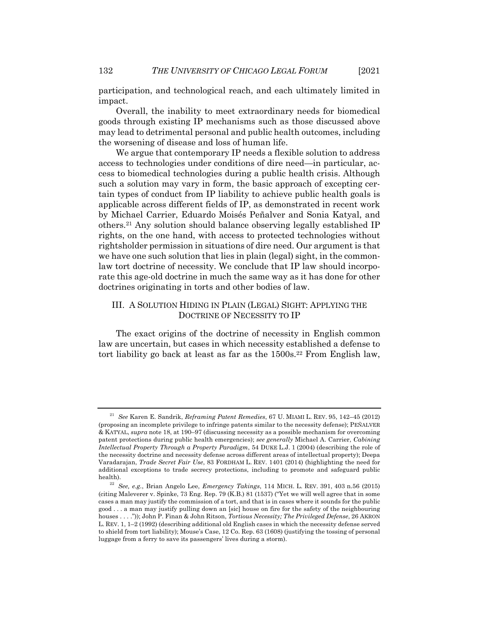participation, and technological reach, and each ultimately limited in impact.

Overall, the inability to meet extraordinary needs for biomedical goods through existing IP mechanisms such as those discussed above may lead to detrimental personal and public health outcomes, including the worsening of disease and loss of human life.

We argue that contemporary IP needs a flexible solution to address access to technologies under conditions of dire need—in particular, access to biomedical technologies during a public health crisis. Although such a solution may vary in form, the basic approach of excepting certain types of conduct from IP liability to achieve public health goals is applicable across different fields of IP, as demonstrated in recent work by Michael Carrier, Eduardo Moisés Peñalver and Sonia Katyal, and others.21 Any solution should balance observing legally established IP rights, on the one hand, with access to protected technologies without rightsholder permission in situations of dire need. Our argument is that we have one such solution that lies in plain (legal) sight, in the commonlaw tort doctrine of necessity. We conclude that IP law should incorporate this age-old doctrine in much the same way as it has done for other doctrines originating in torts and other bodies of law.

### III. A SOLUTION HIDING IN PLAIN (LEGAL) SIGHT: APPLYING THE DOCTRINE OF NECESSITY TO IP

The exact origins of the doctrine of necessity in English common law are uncertain, but cases in which necessity established a defense to tort liability go back at least as far as the  $1500s.<sup>22</sup>$  From English law,

<sup>21</sup> *See* Karen E. Sandrik, *Reframing Patent Remedies*, 67 U. MIAMI L. REV. 95, 142–45 (2012) (proposing an incomplete privilege to infringe patents similar to the necessity defense); PEÑALVER & KATYAL, *supra* note 18, at 190–97 (discussing necessity as a possible mechanism for overcoming patent protections during public health emergencies); *see generally* Michael A. Carrier, *Cabining Intellectual Property Through a Property Paradigm*, 54 DUKE L.J. 1 (2004) (describing the role of the necessity doctrine and necessity defense across different areas of intellectual property); Deepa Varadarajan, *Trade Secret Fair Use*, 83 FORDHAM L. REV. 1401 (2014) (highlighting the need for additional exceptions to trade secrecy protections, including to promote and safeguard public health).

<sup>22</sup> *See, e.g.*, Brian Angelo Lee, *Emergency Takings*, 114 MICH. L. REV. 391, 403 n.56 (2015) (citing Maleverer v. Spinke, 73 Eng. Rep. 79 (K.B.) 81 (1537) ("Yet we will well agree that in some cases a man may justify the commission of a tort, and that is in cases where it sounds for the public good . . . a man may justify pulling down an [sic] house on fire for the safety of the neighbouring houses . . . .")); John P. Finan & John Ritson, *Tortious Necessity; The Privileged Defense*, 26 AKRON L. REV. 1, 1–2 (1992) (describing additional old English cases in which the necessity defense served to shield from tort liability); Mouse's Case, 12 Co. Rep. 63 (1608) (justifying the tossing of personal luggage from a ferry to save its passengers' lives during a storm).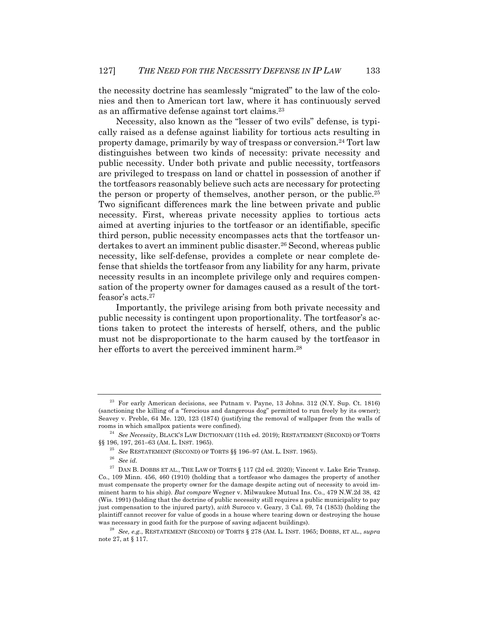the necessity doctrine has seamlessly "migrated" to the law of the colonies and then to American tort law, where it has continuously served as an affirmative defense against tort claims.23

Necessity, also known as the "lesser of two evils" defense, is typically raised as a defense against liability for tortious acts resulting in property damage, primarily by way of trespass or conversion.24 Tort law distinguishes between two kinds of necessity: private necessity and public necessity. Under both private and public necessity, tortfeasors are privileged to trespass on land or chattel in possession of another if the tortfeasors reasonably believe such acts are necessary for protecting the person or property of themselves, another person, or the public.25 Two significant differences mark the line between private and public necessity. First, whereas private necessity applies to tortious acts aimed at averting injuries to the tortfeasor or an identifiable, specific third person, public necessity encompasses acts that the tortfeasor undertakes to avert an imminent public disaster.<sup>26</sup> Second, whereas public necessity, like self-defense, provides a complete or near complete defense that shields the tortfeasor from any liability for any harm, private necessity results in an incomplete privilege only and requires compensation of the property owner for damages caused as a result of the tortfeasor's acts.<sup>27</sup>

Importantly, the privilege arising from both private necessity and public necessity is contingent upon proportionality. The tortfeasor's actions taken to protect the interests of herself, others, and the public must not be disproportionate to the harm caused by the tortfeasor in her efforts to avert the perceived imminent harm.<sup>28</sup>

<sup>&</sup>lt;sup>23</sup> For early American decisions, see Putnam v. Payne, 13 Johns. 312 (N.Y. Sup. Ct. 1816) (sanctioning the killing of a "ferocious and dangerous dog" permitted to run freely by its owner); Seavey v. Preble, 64 Me. 120, 123 (1874) (justifying the removal of wallpaper from the walls of rooms in which smallpox patients were confined).

<sup>24</sup> *See Necessity*, BLACK'S LAW DICTIONARY (11th ed. 2019); RESTATEMENT (SECOND) OF TORTS §§ 196, 197, 261–63 (AM. L. INST. 1965).

<sup>25</sup> *See* RESTATEMENT (SECOND) OF TORTS §§ 196–97 (AM. L. INST. 1965).

<sup>26</sup> *See id.*

 $^{27}$  DAN B. DOBBS ET AL., THE LAW OF TORTS § 117 (2d ed. 2020); Vincent v. Lake Erie Transp. Co., 109 Minn. 456, 460 (1910) (holding that a tortfeasor who damages the property of another must compensate the property owner for the damage despite acting out of necessity to avoid imminent harm to his ship). *But compare* Wegner v. Milwaukee Mutual Ins. Co., 479 N.W.2d 38, 42 (Wis. 1991) (holding that the doctrine of public necessity still requires a public municipality to pay just compensation to the injured party), *with* Surocco v. Geary, 3 Cal. 69, 74 (1853) (holding the plaintiff cannot recover for value of goods in a house where tearing down or destroying the house was necessary in good faith for the purpose of saving adjacent buildings).

<sup>28</sup> *See, e.g.*, RESTATEMENT (SECOND) OF TORTS § 278 (AM. L. INST. 1965; DOBBS, ET AL., *supra* note 27, at § 117.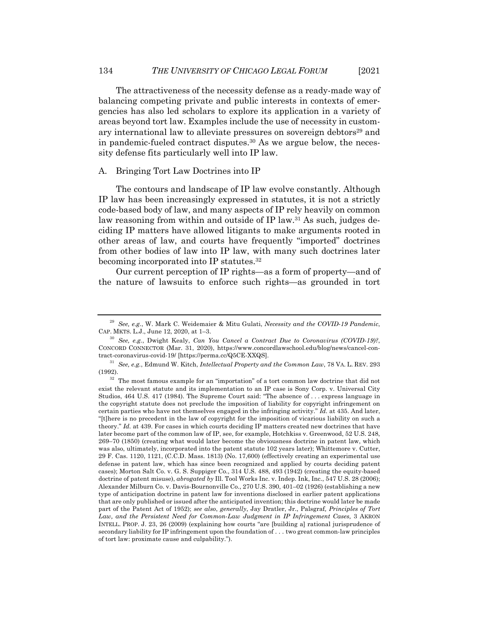The attractiveness of the necessity defense as a ready-made way of balancing competing private and public interests in contexts of emergencies has also led scholars to explore its application in a variety of areas beyond tort law. Examples include the use of necessity in customary international law to alleviate pressures on sovereign debtors<sup>29</sup> and in pandemic-fueled contract disputes.30 As we argue below, the necessity defense fits particularly well into IP law.

#### A. Bringing Tort Law Doctrines into IP

The contours and landscape of IP law evolve constantly. Although IP law has been increasingly expressed in statutes, it is not a strictly code-based body of law, and many aspects of IP rely heavily on common law reasoning from within and outside of IP law.<sup>31</sup> As such, judges deciding IP matters have allowed litigants to make arguments rooted in other areas of law, and courts have frequently "imported" doctrines from other bodies of law into IP law, with many such doctrines later becoming incorporated into IP statutes.32

Our current perception of IP rights—as a form of property—and of the nature of lawsuits to enforce such rights—as grounded in tort

<sup>29</sup> *See, e.g.*, W. Mark C. Weidemaier & Mitu Gulati, *Necessity and the COVID-19 Pandemic*, CAP. MKTS. L.J., June 12, 2020, at 1–3.

<sup>30</sup> *See, e.g.*, Dwight Kealy, *Can You Cancel a Contract Due to Coronavirus (COVID-19)?*, CONCORD CONNECTOR (Mar. 31, 2020), https://www.concordlawschool.edu/blog/news/cancel-contract-coronavirus-covid-19/ [https://perma.cc/Q5CE-XXQS].

<sup>31</sup> *See, e.g.*, Edmund W. Kitch, *Intellectual Property and the Common Law*, 78 VA. L. REV. 293 (1992).

 $32$  The most famous example for an "importation" of a tort common law doctrine that did not exist the relevant statute and its implementation to an IP case is Sony Corp. v. Universal City Studios, 464 U.S. 417 (1984). The Supreme Court said: "The absence of . . . express language in the copyright statute does not preclude the imposition of liability for copyright infringement on certain parties who have not themselves engaged in the infringing activity." *Id.* at 435. And later, "[t]here is no precedent in the law of copyright for the imposition of vicarious liability on such a theory." *Id.* at 439. For cases in which courts deciding IP matters created new doctrines that have later become part of the common law of IP, see, for example, Hotchkiss v. Greenwood, 52 U.S. 248, 269–70 (1850) (creating what would later become the obviousness doctrine in patent law, which was also, ultimately, incorporated into the patent statute 102 years later); Whittemore v. Cutter, 29 F. Cas. 1120, 1121, (C.C.D. Mass. 1813) (No. 17,600) (effectively creating an experimental use defense in patent law, which has since been recognized and applied by courts deciding patent cases); Morton Salt Co. v. G. S. Suppiger Co., 314 U.S. 488, 493 (1942) (creating the equity-based doctrine of patent misuse), *abrogated by* Ill. Tool Works Inc. v. Indep. Ink, Inc., 547 U.S. 28 (2006); Alexander Milburn Co. v. Davis-Bournonville Co., 270 U.S. 390, 401–02 (1926) (establishing a new type of anticipation doctrine in patent law for inventions disclosed in earlier patent applications that are only published or issued after the anticipated invention; this doctrine would later be made part of the Patent Act of 1952); *see also*, *generally*, Jay Dratler, Jr., Palsgraf*, Principles of Tort Law, and the Persistent Need for Common-Law Judgment in IP Infringement Cases,* 3 AKRON INTELL. PROP. J. 23, 26 (2009) (explaining how courts "are [building a] rational jurisprudence of secondary liability for IP infringement upon the foundation of . . . two great common-law principles of tort law: proximate cause and culpability.").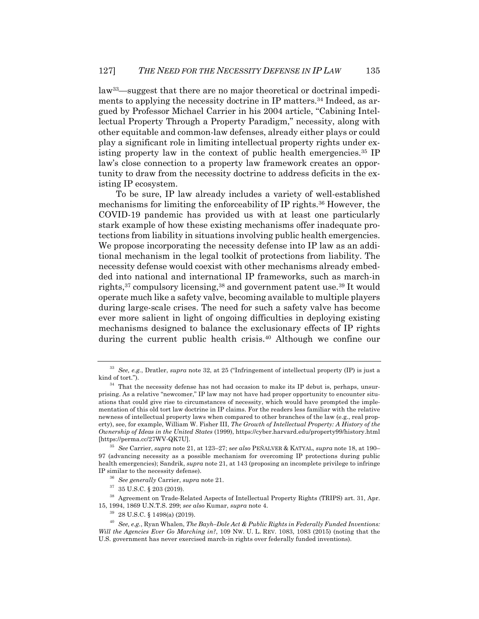law33—suggest that there are no major theoretical or doctrinal impediments to applying the necessity doctrine in IP matters.<sup>34</sup> Indeed, as argued by Professor Michael Carrier in his 2004 article, "Cabining Intellectual Property Through a Property Paradigm," necessity, along with other equitable and common-law defenses, already either plays or could play a significant role in limiting intellectual property rights under existing property law in the context of public health emergencies.<sup>35</sup> IP law's close connection to a property law framework creates an opportunity to draw from the necessity doctrine to address deficits in the existing IP ecosystem.

To be sure, IP law already includes a variety of well-established mechanisms for limiting the enforceability of IP rights.36 However, the COVID-19 pandemic has provided us with at least one particularly stark example of how these existing mechanisms offer inadequate protections from liability in situations involving public health emergencies. We propose incorporating the necessity defense into IP law as an additional mechanism in the legal toolkit of protections from liability. The necessity defense would coexist with other mechanisms already embedded into national and international IP frameworks, such as march-in rights,37 compulsory licensing,38 and government patent use.39 It would operate much like a safety valve, becoming available to multiple players during large-scale crises. The need for such a safety valve has become ever more salient in light of ongoing difficulties in deploying existing mechanisms designed to balance the exclusionary effects of IP rights during the current public health crisis. <sup>40</sup> Although we confine our

<sup>33</sup> *See, e.g.*, Dratler, *supra* note 32, at 25 ("Infringement of intellectual property (IP) is just a kind of tort.").

 $34$  That the necessity defense has not had occasion to make its IP debut is, perhaps, unsurprising. As a relative "newcomer," IP law may not have had proper opportunity to encounter situations that could give rise to circumstances of necessity, which would have prompted the implementation of this old tort law doctrine in IP claims. For the readers less familiar with the relative newness of intellectual property laws when compared to other branches of the law (e.g., real property), see, for example, William W. Fisher III, *The Growth of Intellectual Property: A History of the Ownership of Ideas in the United States* (1999), https://cyber.harvard.edu/property99/history.html [https://perma.cc/27WV-QK7U].

<sup>35</sup> *See* Carrier, *supra* note 21, at 123–27; s*ee also* PEÑALVER & KATYAL, *supra* note 18, at 190– 97 (advancing necessity as a possible mechanism for overcoming IP protections during public health emergencies); Sandrik, *supra* note 21, at 143 (proposing an incomplete privilege to infringe IP similar to the necessity defense).

<sup>36</sup> *See generally* Carrier, *supra* note 21.

 $37$  35 U.S.C. § 203 (2019).

<sup>38</sup> Agreement on Trade-Related Aspects of Intellectual Property Rights (TRIPS) art. 31, Apr. 15, 1994, 1869 U.N.T.S. 299; *see also* Kumar, *supra* note 4.

 $39$  28 U.S.C. § 1498(a) (2019).

<sup>40</sup> *See, e.g.*, Ryan Whalen, *The Bayh–Dole Act & Public Rights in Federally Funded Inventions: Will the Agencies Ever Go Marching in?*, 109 NW. U. L. REV. 1083, 1083 (2015) (noting that the U.S. government has never exercised march-in rights over federally funded inventions).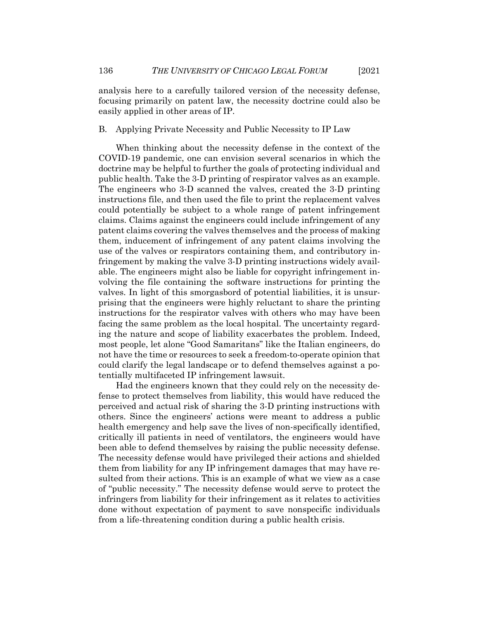analysis here to a carefully tailored version of the necessity defense, focusing primarily on patent law, the necessity doctrine could also be easily applied in other areas of IP.

B. Applying Private Necessity and Public Necessity to IP Law

When thinking about the necessity defense in the context of the COVID-19 pandemic, one can envision several scenarios in which the doctrine may be helpful to further the goals of protecting individual and public health. Take the 3-D printing of respirator valves as an example. The engineers who 3-D scanned the valves, created the 3-D printing instructions file, and then used the file to print the replacement valves could potentially be subject to a whole range of patent infringement claims. Claims against the engineers could include infringement of any patent claims covering the valves themselves and the process of making them, inducement of infringement of any patent claims involving the use of the valves or respirators containing them, and contributory infringement by making the valve 3-D printing instructions widely available. The engineers might also be liable for copyright infringement involving the file containing the software instructions for printing the valves. In light of this smorgasbord of potential liabilities, it is unsurprising that the engineers were highly reluctant to share the printing instructions for the respirator valves with others who may have been facing the same problem as the local hospital. The uncertainty regarding the nature and scope of liability exacerbates the problem. Indeed, most people, let alone "Good Samaritans" like the Italian engineers, do not have the time or resources to seek a freedom-to-operate opinion that could clarify the legal landscape or to defend themselves against a potentially multifaceted IP infringement lawsuit.

Had the engineers known that they could rely on the necessity defense to protect themselves from liability, this would have reduced the perceived and actual risk of sharing the 3-D printing instructions with others. Since the engineers' actions were meant to address a public health emergency and help save the lives of non-specifically identified, critically ill patients in need of ventilators, the engineers would have been able to defend themselves by raising the public necessity defense. The necessity defense would have privileged their actions and shielded them from liability for any IP infringement damages that may have resulted from their actions. This is an example of what we view as a case of "public necessity." The necessity defense would serve to protect the infringers from liability for their infringement as it relates to activities done without expectation of payment to save nonspecific individuals from a life-threatening condition during a public health crisis.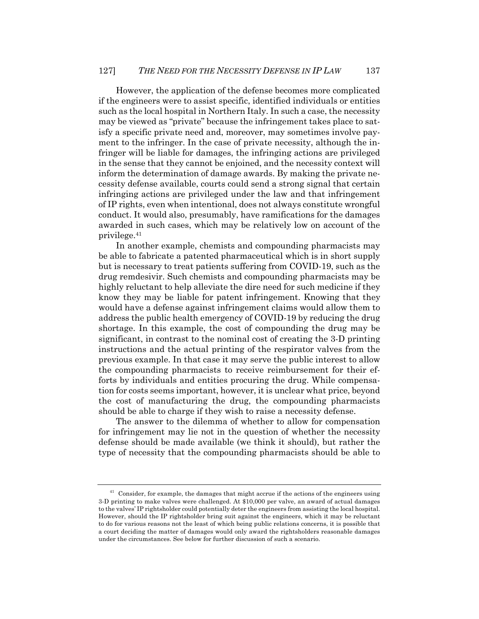However, the application of the defense becomes more complicated if the engineers were to assist specific, identified individuals or entities such as the local hospital in Northern Italy. In such a case, the necessity may be viewed as "private" because the infringement takes place to satisfy a specific private need and, moreover, may sometimes involve payment to the infringer. In the case of private necessity, although the infringer will be liable for damages, the infringing actions are privileged in the sense that they cannot be enjoined, and the necessity context will inform the determination of damage awards. By making the private necessity defense available, courts could send a strong signal that certain infringing actions are privileged under the law and that infringement of IP rights, even when intentional, does not always constitute wrongful conduct. It would also, presumably, have ramifications for the damages awarded in such cases, which may be relatively low on account of the privilege.41

In another example, chemists and compounding pharmacists may be able to fabricate a patented pharmaceutical which is in short supply but is necessary to treat patients suffering from COVID-19, such as the drug remdesivir. Such chemists and compounding pharmacists may be highly reluctant to help alleviate the dire need for such medicine if they know they may be liable for patent infringement. Knowing that they would have a defense against infringement claims would allow them to address the public health emergency of COVID-19 by reducing the drug shortage. In this example, the cost of compounding the drug may be significant, in contrast to the nominal cost of creating the 3-D printing instructions and the actual printing of the respirator valves from the previous example. In that case it may serve the public interest to allow the compounding pharmacists to receive reimbursement for their efforts by individuals and entities procuring the drug. While compensation for costs seems important, however, it is unclear what price, beyond the cost of manufacturing the drug, the compounding pharmacists should be able to charge if they wish to raise a necessity defense.

The answer to the dilemma of whether to allow for compensation for infringement may lie not in the question of whether the necessity defense should be made available (we think it should), but rather the type of necessity that the compounding pharmacists should be able to

 $41$  Consider, for example, the damages that might accrue if the actions of the engineers using 3-D printing to make valves were challenged. At \$10,000 per valve, an award of actual damages to the valves' IP rightsholder could potentially deter the engineers from assisting the local hospital. However, should the IP rightsholder bring suit against the engineers, which it may be reluctant to do for various reasons not the least of which being public relations concerns, it is possible that a court deciding the matter of damages would only award the rightsholders reasonable damages under the circumstances. See below for further discussion of such a scenario.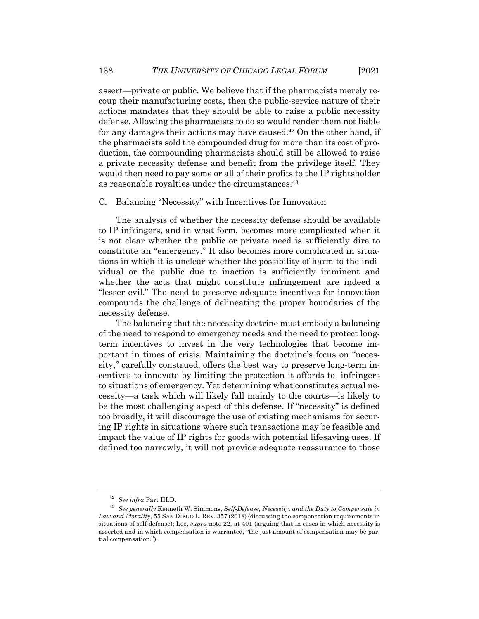assert—private or public. We believe that if the pharmacists merely recoup their manufacturing costs, then the public-service nature of their actions mandates that they should be able to raise a public necessity defense. Allowing the pharmacists to do so would render them not liable for any damages their actions may have caused. $42$  On the other hand, if the pharmacists sold the compounded drug for more than its cost of production, the compounding pharmacists should still be allowed to raise a private necessity defense and benefit from the privilege itself. They would then need to pay some or all of their profits to the IP rightsholder as reasonable royalties under the circumstances.43

### C. Balancing "Necessity" with Incentives for Innovation

The analysis of whether the necessity defense should be available to IP infringers, and in what form, becomes more complicated when it is not clear whether the public or private need is sufficiently dire to constitute an "emergency." It also becomes more complicated in situations in which it is unclear whether the possibility of harm to the individual or the public due to inaction is sufficiently imminent and whether the acts that might constitute infringement are indeed a "lesser evil." The need to preserve adequate incentives for innovation compounds the challenge of delineating the proper boundaries of the necessity defense.

The balancing that the necessity doctrine must embody a balancing of the need to respond to emergency needs and the need to protect longterm incentives to invest in the very technologies that become important in times of crisis. Maintaining the doctrine's focus on "necessity," carefully construed, offers the best way to preserve long-term incentives to innovate by limiting the protection it affords to infringers to situations of emergency. Yet determining what constitutes actual necessity—a task which will likely fall mainly to the courts—is likely to be the most challenging aspect of this defense. If "necessity" is defined too broadly, it will discourage the use of existing mechanisms for securing IP rights in situations where such transactions may be feasible and impact the value of IP rights for goods with potential lifesaving uses. If defined too narrowly, it will not provide adequate reassurance to those

<sup>42</sup> *See infra* Part III.D.

<sup>43</sup> *See generally* Kenneth W. Simmons, *Self-Defense, Necessity, and the Duty to Compensate in Law and Morality*, 55 SAN DIEGO L. REV. 357 (2018) (discussing the compensation requirements in situations of self-defense); Lee, *supra* note 22, at 401 (arguing that in cases in which necessity is asserted and in which compensation is warranted, "the just amount of compensation may be partial compensation.").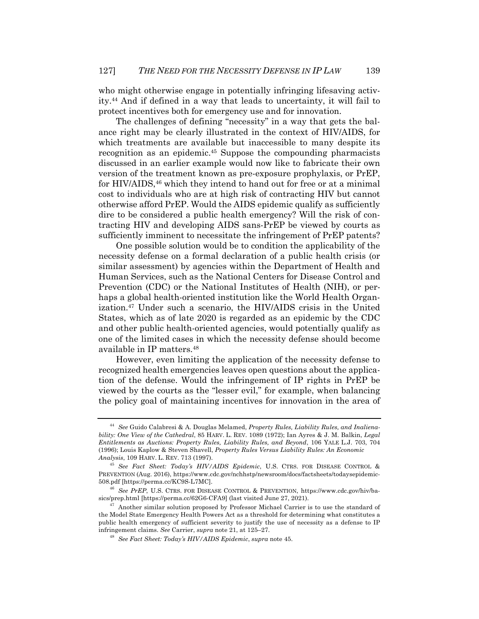who might otherwise engage in potentially infringing lifesaving activity.44 And if defined in a way that leads to uncertainty, it will fail to protect incentives both for emergency use and for innovation.

The challenges of defining "necessity" in a way that gets the balance right may be clearly illustrated in the context of HIV/AIDS, for which treatments are available but inaccessible to many despite its recognition as an epidemic. <sup>45</sup> Suppose the compounding pharmacists discussed in an earlier example would now like to fabricate their own version of the treatment known as pre-exposure prophylaxis, or PrEP, for HIV/AIDS,46 which they intend to hand out for free or at a minimal cost to individuals who are at high risk of contracting HIV but cannot otherwise afford PrEP. Would the AIDS epidemic qualify as sufficiently dire to be considered a public health emergency? Will the risk of contracting HIV and developing AIDS sans-PrEP be viewed by courts as sufficiently imminent to necessitate the infringement of PrEP patents?

One possible solution would be to condition the applicability of the necessity defense on a formal declaration of a public health crisis (or similar assessment) by agencies within the Department of Health and Human Services, such as the National Centers for Disease Control and Prevention (CDC) or the National Institutes of Health (NIH), or perhaps a global health-oriented institution like the World Health Organization.47 Under such a scenario, the HIV/AIDS crisis in the United States, which as of late 2020 is regarded as an epidemic by the CDC and other public health-oriented agencies, would potentially qualify as one of the limited cases in which the necessity defense should become available in IP matters. 48

However, even limiting the application of the necessity defense to recognized health emergencies leaves open questions about the application of the defense. Would the infringement of IP rights in PrEP be viewed by the courts as the "lesser evil," for example, when balancing the policy goal of maintaining incentives for innovation in the area of

<sup>44</sup> *See* Guido Calabresi & A. Douglas Melamed, *Property Rules, Liability Rules, and Inalienability: One View of the Cathedral*, 85 HARV. L. REV. 1089 (1972); Ian Ayres & J. M. Balkin, *Legal Entitlements as Auctions: Property Rules, Liability Rules, and Beyond*, 106 YALE L.J. 703, 704 (1996); Louis Kaplow & Steven Shavell, *Property Rules Versus Liability Rules: An Economic Analysis*, 109 HARV. L. REV. 713 (1997).

<sup>45</sup> *See Fact Sheet: Today's HIV/AIDS Epidemic*, U.S. CTRS. FOR DISEASE CONTROL & PREVENTION (Aug. 2016), https://www.cdc.gov/nchhstp/newsroom/docs/factsheets/todaysepidemic-508.pdf [https://perma.cc/KC9S-L7MC].

<sup>46</sup> *See PrEP*, U.S. CTRS. FOR DISEASE CONTROL & PREVENTION, https://www.cdc.gov/hiv/basics/prep.html [https://perma.cc/62G6-CFA9] (last visited June 27, 2021).

<sup>47</sup> Another similar solution proposed by Professor Michael Carrier is to use the standard of the Model State Emergency Health Powers Act as a threshold for determining what constitutes a public health emergency of sufficient severity to justify the use of necessity as a defense to IP infringement claims. *See* Carrier, *supra* note 21, at 125–27.

<sup>48</sup> *See Fact Sheet: Today's HIV/AIDS Epidemic*, *supra* note 45.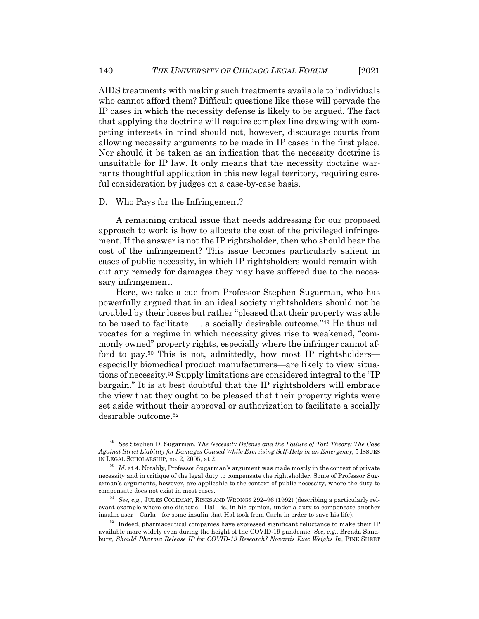AIDS treatments with making such treatments available to individuals who cannot afford them? Difficult questions like these will pervade the IP cases in which the necessity defense is likely to be argued. The fact that applying the doctrine will require complex line drawing with competing interests in mind should not, however, discourage courts from allowing necessity arguments to be made in IP cases in the first place. Nor should it be taken as an indication that the necessity doctrine is unsuitable for IP law. It only means that the necessity doctrine warrants thoughtful application in this new legal territory, requiring careful consideration by judges on a case-by-case basis.

#### D. Who Pays for the Infringement?

A remaining critical issue that needs addressing for our proposed approach to work is how to allocate the cost of the privileged infringement. If the answer is not the IP rightsholder, then who should bear the cost of the infringement? This issue becomes particularly salient in cases of public necessity, in which IP rightsholders would remain without any remedy for damages they may have suffered due to the necessary infringement.

Here, we take a cue from Professor Stephen Sugarman, who has powerfully argued that in an ideal society rightsholders should not be troubled by their losses but rather "pleased that their property was able to be used to facilitate . . . a socially desirable outcome."49 He thus advocates for a regime in which necessity gives rise to weakened, "commonly owned" property rights, especially where the infringer cannot afford to pay.<sup>50</sup> This is not, admittedly, how most IP rightsholders especially biomedical product manufacturers—are likely to view situations of necessity.51 Supply limitations are considered integral to the "IP bargain." It is at best doubtful that the IP rightsholders will embrace the view that they ought to be pleased that their property rights were set aside without their approval or authorization to facilitate a socially desirable outcome.52

<sup>49</sup> *See* Stephen D. Sugarman, *The Necessity Defense and the Failure of Tort Theory: The Case Against Strict Liability for Damages Caused While Exercising Self-Help in an Emergency*, 5 ISSUES IN LEGAL SCHOLARSHIP, no. 2, 2005, at 2.

<sup>&</sup>lt;sup>50</sup> *Id.* at 4. Notably, Professor Sugarman's argument was made mostly in the context of private necessity and in critique of the legal duty to compensate the rightsholder. Some of Professor Sugarman's arguments, however, are applicable to the context of public necessity, where the duty to compensate does not exist in most cases.

<sup>51</sup> *See, e.g.*, JULES COLEMAN, RISKS AND WRONGS 292–96 (1992) (describing a particularly relevant example where one diabetic—Hal—is, in his opinion, under a duty to compensate another insulin user—Carla—for some insulin that Hal took from Carla in order to save his life).

 $52$  Indeed, pharmaceutical companies have expressed significant reluctance to make their IP available more widely even during the height of the COVID-19 pandemic. *See, e.g.*, Brenda Sandburg, *Should Pharma Release IP for COVID-19 Research? Novartis Exec Weighs In*, PINK SHEET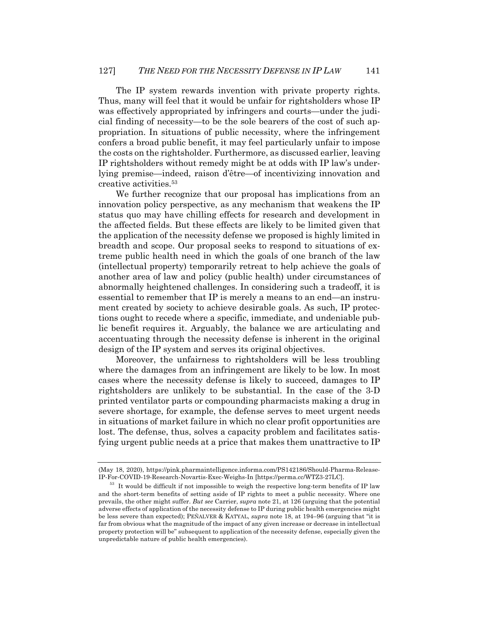The IP system rewards invention with private property rights. Thus, many will feel that it would be unfair for rightsholders whose IP was effectively appropriated by infringers and courts—under the judicial finding of necessity—to be the sole bearers of the cost of such appropriation. In situations of public necessity, where the infringement confers a broad public benefit, it may feel particularly unfair to impose the costs on the rightsholder. Furthermore, as discussed earlier, leaving IP rightsholders without remedy might be at odds with IP law's underlying premise—indeed, raison d'être—of incentivizing innovation and creative activities.53

We further recognize that our proposal has implications from an innovation policy perspective, as any mechanism that weakens the IP status quo may have chilling effects for research and development in the affected fields. But these effects are likely to be limited given that the application of the necessity defense we proposed is highly limited in breadth and scope. Our proposal seeks to respond to situations of extreme public health need in which the goals of one branch of the law (intellectual property) temporarily retreat to help achieve the goals of another area of law and policy (public health) under circumstances of abnormally heightened challenges. In considering such a tradeoff, it is essential to remember that IP is merely a means to an end—an instrument created by society to achieve desirable goals. As such, IP protections ought to recede where a specific, immediate, and undeniable public benefit requires it. Arguably, the balance we are articulating and accentuating through the necessity defense is inherent in the original design of the IP system and serves its original objectives.

Moreover, the unfairness to rightsholders will be less troubling where the damages from an infringement are likely to be low. In most cases where the necessity defense is likely to succeed, damages to IP rightsholders are unlikely to be substantial. In the case of the 3-D printed ventilator parts or compounding pharmacists making a drug in severe shortage, for example, the defense serves to meet urgent needs in situations of market failure in which no clear profit opportunities are lost. The defense, thus, solves a capacity problem and facilitates satisfying urgent public needs at a price that makes them unattractive to IP

<sup>(</sup>May 18, 2020), https://pink.pharmaintelligence.informa.com/PS142186/Should-Pharma-Release-IP-For-COVID-19-Research-Novartis-Exec-Weighs-In [https://perma.cc/WTZ3-27LC].

 $53$  It would be difficult if not impossible to weigh the respective long-term benefits of IP law and the short-term benefits of setting aside of IP rights to meet a public necessity. Where one prevails, the other might suffer. *But see* Carrier, *supra* note 21, at 126 (arguing that the potential adverse effects of application of the necessity defense to IP during public health emergencies might be less severe than expected); PEÑALVER & KATYAL, *supra* note 18, at 194–96 (arguing that "it is far from obvious what the magnitude of the impact of any given increase or decrease in intellectual property protection will be" subsequent to application of the necessity defense, especially given the unpredictable nature of public health emergencies).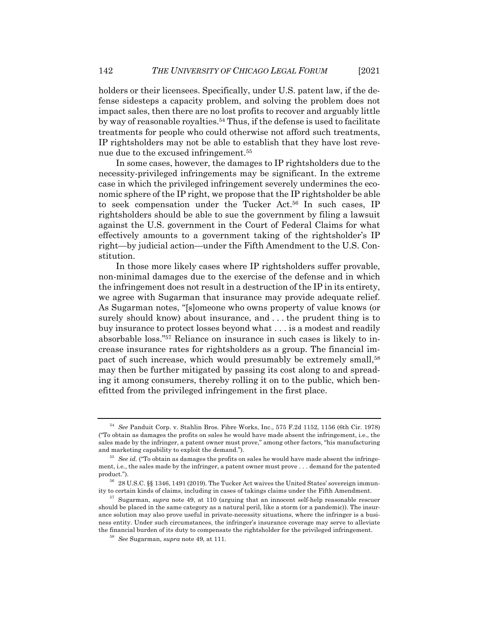holders or their licensees. Specifically, under U.S. patent law, if the defense sidesteps a capacity problem, and solving the problem does not impact sales, then there are no lost profits to recover and arguably little by way of reasonable royalties.<sup>54</sup> Thus, if the defense is used to facilitate treatments for people who could otherwise not afford such treatments, IP rightsholders may not be able to establish that they have lost revenue due to the excused infringement.55

In some cases, however, the damages to IP rightsholders due to the necessity-privileged infringements may be significant. In the extreme case in which the privileged infringement severely undermines the economic sphere of the IP right, we propose that the IP rightsholder be able to seek compensation under the Tucker Act.56 In such cases, IP rightsholders should be able to sue the government by filing a lawsuit against the U.S. government in the Court of Federal Claims for what effectively amounts to a government taking of the rightsholder's IP right—by judicial action—under the Fifth Amendment to the U.S. Constitution.

In those more likely cases where IP rightsholders suffer provable, non-minimal damages due to the exercise of the defense and in which the infringement does not result in a destruction of the IP in its entirety, we agree with Sugarman that insurance may provide adequate relief. As Sugarman notes, "[s]omeone who owns property of value knows (or surely should know) about insurance, and . . . the prudent thing is to buy insurance to protect losses beyond what . . . is a modest and readily absorbable loss."57 Reliance on insurance in such cases is likely to increase insurance rates for rightsholders as a group. The financial impact of such increase, which would presumably be extremely small,<sup>58</sup> may then be further mitigated by passing its cost along to and spreading it among consumers, thereby rolling it on to the public, which benefitted from the privileged infringement in the first place.

<sup>54</sup> *See* Panduit Corp. v. Stahlin Bros. Fibre Works, Inc., 575 F.2d 1152, 1156 (6th Cir. 1978) ("To obtain as damages the profits on sales he would have made absent the infringement, i.e., the sales made by the infringer, a patent owner must prove," among other factors, "his manufacturing and marketing capability to exploit the demand.").

<sup>55</sup> *See id.* ("To obtain as damages the profits on sales he would have made absent the infringement, i.e., the sales made by the infringer, a patent owner must prove . . . demand for the patented product.").

<sup>56</sup> 28 U.S.C. §§ 1346, 1491 (2019). The Tucker Act waives the United States' sovereign immunity to certain kinds of claims, including in cases of takings claims under the Fifth Amendment.

<sup>57</sup> Sugarman, *supra* note 49, at 110 (arguing that an innocent self-help reasonable rescuer should be placed in the same category as a natural peril, like a storm (or a pandemic)). The insurance solution may also prove useful in private-necessity situations, where the infringer is a business entity. Under such circumstances, the infringer's insurance coverage may serve to alleviate the financial burden of its duty to compensate the rightsholder for the privileged infringement.

<sup>58</sup> *See* Sugarman, *supra* note 49, at 111.